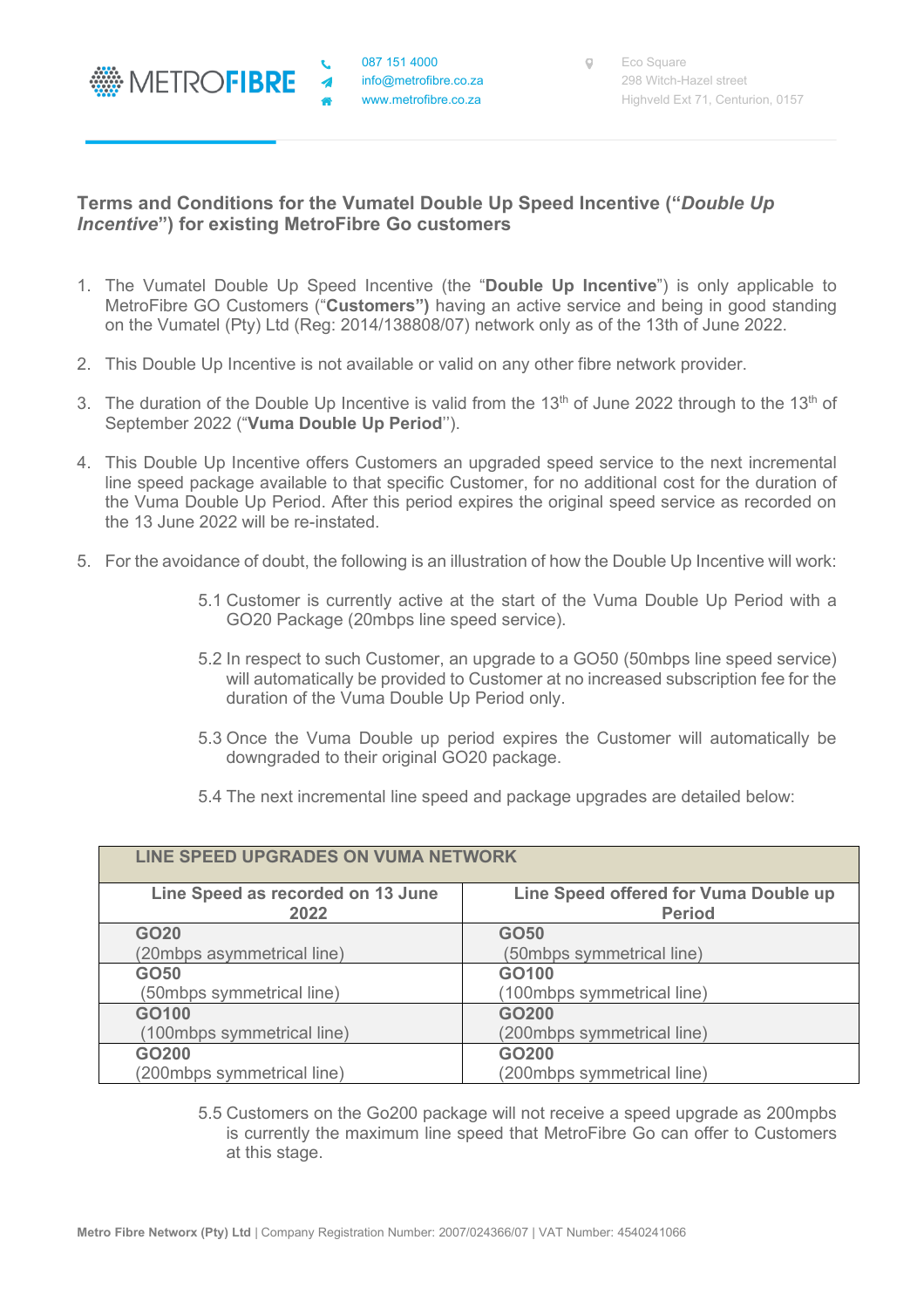

 $\blacktriangleleft$ 

## **Terms and Conditions for the Vumatel Double Up Speed Incentive ("***Double Up Incentive***") for existing MetroFibre Go customers**

- 1. The Vumatel Double Up Speed Incentive (the "**Double Up Incentive**") is only applicable to MetroFibre GO Customers ("**Customers")** having an active service and being in good standing on the Vumatel (Pty) Ltd (Reg: 2014/138808/07) network only as of the 13th of June 2022.
- 2. This Double Up Incentive is not available or valid on any other fibre network provider.
- 3. The duration of the Double Up Incentive is valid from the 13<sup>th</sup> of June 2022 through to the 13<sup>th</sup> of September 2022 ("**Vuma Double Up Period**'').
- 4. This Double Up Incentive offers Customers an upgraded speed service to the next incremental line speed package available to that specific Customer, for no additional cost for the duration of the Vuma Double Up Period. After this period expires the original speed service as recorded on the 13 June 2022 will be re-instated.
- 5. For the avoidance of doubt, the following is an illustration of how the Double Up Incentive will work:
	- 5.1 Customer is currently active at the start of the Vuma Double Up Period with a GO20 Package (20mbps line speed service).
	- 5.2 In respect to such Customer, an upgrade to a GO50 (50mbps line speed service) will automatically be provided to Customer at no increased subscription fee for the duration of the Vuma Double Up Period only.
	- 5.3 Once the Vuma Double up period expires the Customer will automatically be downgraded to their original GO20 package.
	- 5.4 The next incremental line speed and package upgrades are detailed below:

| LINE SPEED UPGRADES ON VUMA NETWORK       |                                                        |
|-------------------------------------------|--------------------------------------------------------|
| Line Speed as recorded on 13 June<br>2022 | Line Speed offered for Vuma Double up<br><b>Period</b> |
| GO20                                      | GO50                                                   |
| (20mbps asymmetrical line)                | (50mbps symmetrical line)                              |
| GO <sub>50</sub>                          | GO100                                                  |
| (50mbps symmetrical line)                 | (100mbps symmetrical line)                             |
| GO100                                     | GO200                                                  |
| (100mbps symmetrical line)                | (200mbps symmetrical line)                             |
| GO200                                     | GO200                                                  |
| (200mbps symmetrical line)                | (200mbps symmetrical line)                             |

5.5 Customers on the Go200 package will not receive a speed upgrade as 200mpbs is currently the maximum line speed that MetroFibre Go can offer to Customers at this stage.